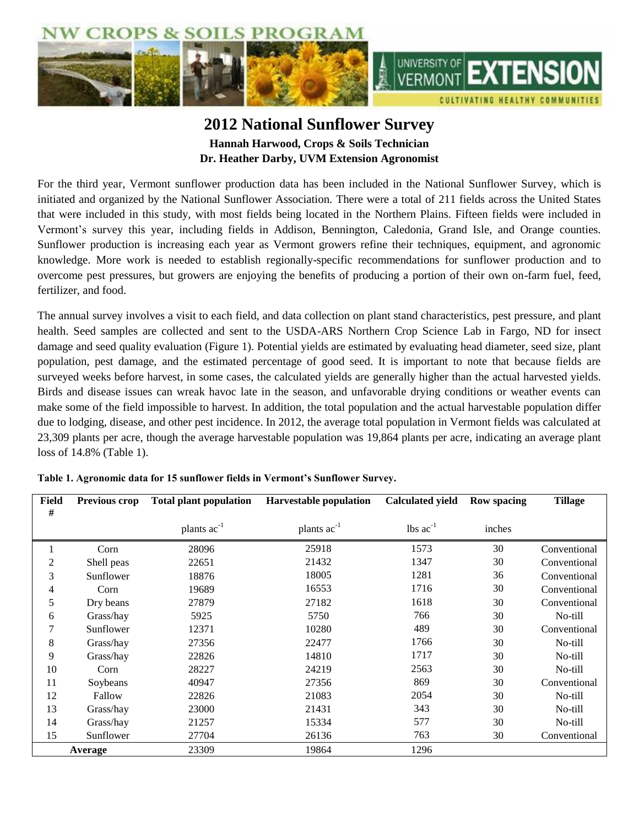

## **2012 National Sunflower Survey Hannah Harwood, Crops & Soils Technician Dr. Heather Darby, UVM Extension Agronomist**

For the third year, Vermont sunflower production data has been included in the National Sunflower Survey, which is initiated and organized by the National Sunflower Association. There were a total of 211 fields across the United States that were included in this study, with most fields being located in the Northern Plains. Fifteen fields were included in Vermont's survey this year, including fields in Addison, Bennington, Caledonia, Grand Isle, and Orange counties. Sunflower production is increasing each year as Vermont growers refine their techniques, equipment, and agronomic knowledge. More work is needed to establish regionally-specific recommendations for sunflower production and to overcome pest pressures, but growers are enjoying the benefits of producing a portion of their own on-farm fuel, feed, fertilizer, and food.

The annual survey involves a visit to each field, and data collection on plant stand characteristics, pest pressure, and plant health. Seed samples are collected and sent to the USDA-ARS Northern Crop Science Lab in Fargo, ND for insect damage and seed quality evaluation (Figure 1). Potential yields are estimated by evaluating head diameter, seed size, plant population, pest damage, and the estimated percentage of good seed. It is important to note that because fields are surveyed weeks before harvest, in some cases, the calculated yields are generally higher than the actual harvested yields. Birds and disease issues can wreak havoc late in the season, and unfavorable drying conditions or weather events can make some of the field impossible to harvest. In addition, the total population and the actual harvestable population differ due to lodging, disease, and other pest incidence. In 2012, the average total population in Vermont fields was calculated at 23,309 plants per acre, though the average harvestable population was 19,864 plants per acre, indicating an average plant loss of 14.8% (Table 1).

| Field   | <b>Previous crop</b> | <b>Total plant population</b> | <b>Harvestable population</b> | <b>Calculated yield</b> | <b>Row spacing</b> | <b>Tillage</b> |  |
|---------|----------------------|-------------------------------|-------------------------------|-------------------------|--------------------|----------------|--|
| #       |                      |                               |                               |                         |                    |                |  |
|         |                      | plants ac <sup>-1</sup>       | plants $ac^{-1}$              | $lbs$ $ac^{-1}$         | inches             |                |  |
|         | Corn                 | 28096                         | 25918                         | 1573                    | 30                 | Conventional   |  |
| 2       | Shell peas           | 22651                         | 21432                         | 1347                    | 30                 | Conventional   |  |
| 3       | Sunflower            | 18876                         | 18005                         | 1281                    | 36                 | Conventional   |  |
| 4       | Corn                 | 19689                         | 16553                         | 1716                    | 30                 | Conventional   |  |
| 5       | Dry beans            | 27879                         | 27182                         | 1618                    | 30                 | Conventional   |  |
| 6       | Grass/hay            | 5925                          | 5750                          | 766                     | 30                 | No-till        |  |
| 7       | Sunflower            | 12371                         | 10280                         | 489                     | 30                 | Conventional   |  |
| 8       | Grass/hay            | 27356                         | 22477                         | 1766                    | 30                 | No-till        |  |
| 9       | Grass/hay            | 22826                         | 14810                         | 1717                    | 30                 | No-till        |  |
| 10      | Corn                 | 28227                         | 24219                         | 2563                    | 30                 | No-till        |  |
| 11      | Soybeans             | 40947                         | 27356                         | 869                     | 30                 | Conventional   |  |
| 12      | Fallow               | 22826                         | 21083                         | 2054                    | 30                 | No-till        |  |
| 13      | Grass/hay            | 23000                         | 21431                         | 343                     | 30                 | No-till        |  |
| 14      | Grass/hay            | 21257                         | 15334                         | 577                     | 30                 | No-till        |  |
| 15      | Sunflower            | 27704                         | 26136                         | 763                     | 30                 | Conventional   |  |
| Average |                      | 23309                         | 19864                         | 1296                    |                    |                |  |

**Table 1. Agronomic data for 15 sunflower fields in Vermont's Sunflower Survey.**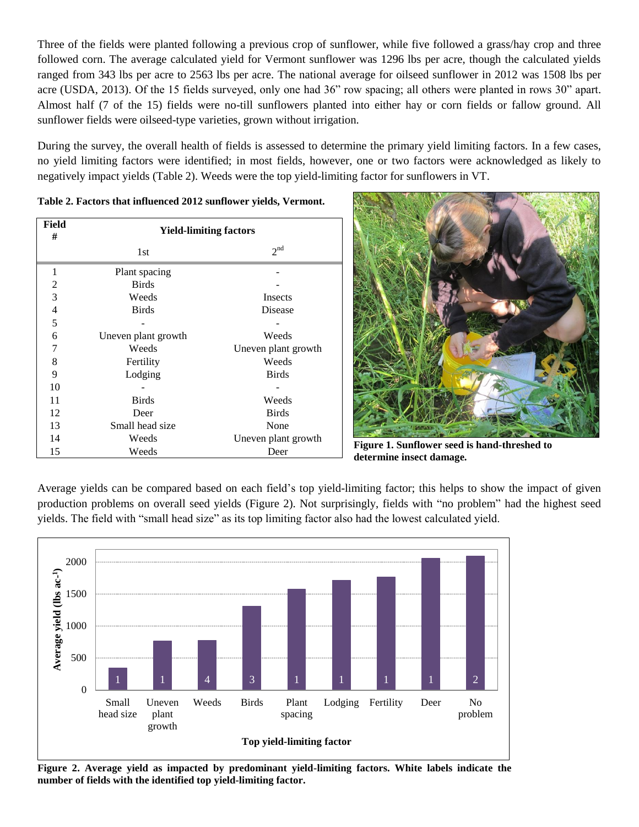Three of the fields were planted following a previous crop of sunflower, while five followed a grass/hay crop and three followed corn. The average calculated yield for Vermont sunflower was 1296 lbs per acre, though the calculated yields ranged from 343 lbs per acre to 2563 lbs per acre. The national average for oilseed sunflower in 2012 was 1508 lbs per acre (USDA, 2013). Of the 15 fields surveyed, only one had 36" row spacing; all others were planted in rows 30" apart. Almost half (7 of the 15) fields were no-till sunflowers planted into either hay or corn fields or fallow ground. All sunflower fields were oilseed-type varieties, grown without irrigation.

During the survey, the overall health of fields is assessed to determine the primary yield limiting factors. In a few cases, no yield limiting factors were identified; in most fields, however, one or two factors were acknowledged as likely to negatively impact yields (Table 2). Weeds were the top yield-limiting factor for sunflowers in VT.

| Field<br>#     | <b>Yield-limiting factors</b> |                     |  |  |  |  |  |
|----------------|-------------------------------|---------------------|--|--|--|--|--|
|                | 1st                           | 2 <sup>nd</sup>     |  |  |  |  |  |
| 1              | Plant spacing                 |                     |  |  |  |  |  |
| $\overline{c}$ | <b>Birds</b>                  |                     |  |  |  |  |  |
| 3              | Weeds                         | Insects             |  |  |  |  |  |
| $\overline{4}$ | <b>Birds</b>                  | Disease             |  |  |  |  |  |
| 5              |                               |                     |  |  |  |  |  |
| 6              | Uneven plant growth           | Weeds               |  |  |  |  |  |
| 7              | Weeds                         | Uneven plant growth |  |  |  |  |  |
| 8              | Fertility                     | Weeds               |  |  |  |  |  |
| 9              | Lodging                       | <b>Birds</b>        |  |  |  |  |  |
| 10             |                               |                     |  |  |  |  |  |
| 11             | <b>Birds</b>                  | Weeds               |  |  |  |  |  |
| 12             | Deer                          | <b>Birds</b>        |  |  |  |  |  |
| 13             | Small head size               | None                |  |  |  |  |  |
| 14             | Weeds                         | Uneven plant growth |  |  |  |  |  |
| 15             | Weeds                         | Deer                |  |  |  |  |  |

**Figure 1. Sunflower seed is hand-threshed to determine insect damage.**

Average yields can be compared based on each field's top yield-limiting factor; this helps to show the impact of given production problems on overall seed yields (Figure 2). Not surprisingly, fields with "no problem" had the highest seed yields. The field with "small head size" as its top limiting factor also had the lowest calculated yield.



**Figure 2. Average yield as impacted by predominant yield-limiting factors. White labels indicate the number of fields with the identified top yield-limiting factor.**

**Table 2. Factors that influenced 2012 sunflower yields, Vermont.**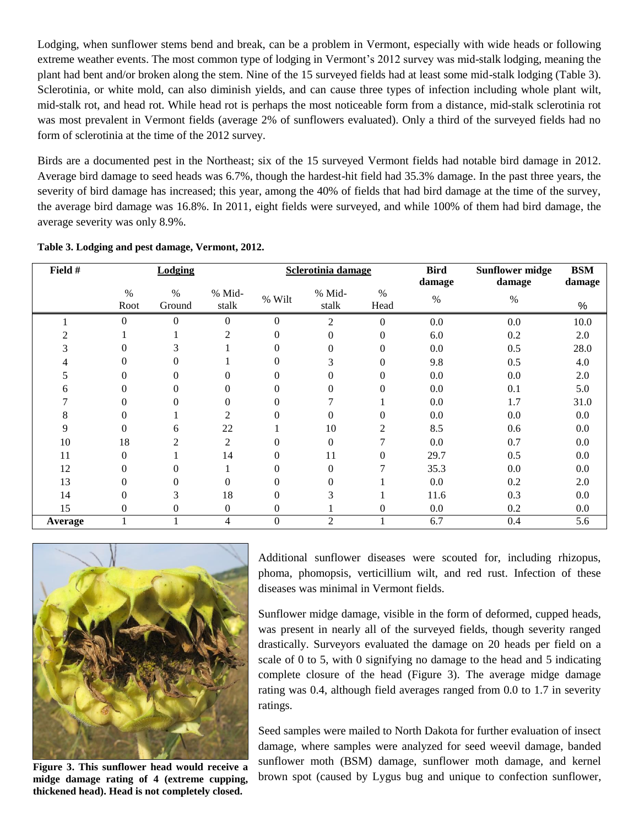Lodging, when sunflower stems bend and break, can be a problem in Vermont, especially with wide heads or following extreme weather events. The most common type of lodging in Vermont's 2012 survey was mid-stalk lodging, meaning the plant had bent and/or broken along the stem. Nine of the 15 surveyed fields had at least some mid-stalk lodging (Table 3). Sclerotinia, or white mold, can also diminish yields, and can cause three types of infection including whole plant wilt, mid-stalk rot, and head rot. While head rot is perhaps the most noticeable form from a distance, mid-stalk sclerotinia rot was most prevalent in Vermont fields (average 2% of sunflowers evaluated). Only a third of the surveyed fields had no form of sclerotinia at the time of the 2012 survey.

Birds are a documented pest in the Northeast; six of the 15 surveyed Vermont fields had notable bird damage in 2012. Average bird damage to seed heads was 6.7%, though the hardest-hit field had 35.3% damage. In the past three years, the severity of bird damage has increased; this year, among the 40% of fields that had bird damage at the time of the survey, the average bird damage was 16.8%. In 2011, eight fields were surveyed, and while 100% of them had bird damage, the average severity was only 8.9%.

| Field # | <b>Lodging</b> |                |                | Sclerotinia damage |                | <b>Bird</b>    | <b>Sunflower midge</b> | <b>BSM</b> |        |
|---------|----------------|----------------|----------------|--------------------|----------------|----------------|------------------------|------------|--------|
|         |                |                |                |                    |                |                | damage                 | damage     | damage |
|         | $\%$           | $\%$           | % Mid-         | % Wilt             | % Mid-         | $\%$           | $\%$                   | $\%$       |        |
|         | Root           | Ground         | stalk          |                    | stalk          | Head           |                        |            | %      |
|         | $\Omega$       | $\overline{0}$ | $\Omega$       | $\Omega$           | $\overline{2}$ | $\theta$       | 0.0                    | 0.0        | 10.0   |
|         |                |                | 2              | 0                  | $\theta$       | $\theta$       | 6.0                    | 0.2        | 2.0    |
|         | 0              | 3              |                | 0                  | $\Omega$       | $\Omega$       | 0.0                    | 0.5        | 28.0   |
|         | 0              | 0              |                | $\Omega$           | 3              | $\mathbf{0}$   | 9.8                    | 0.5        | 4.0    |
|         | 0              | $\theta$       | 0              | $\theta$           | $\theta$       | $\theta$       | 0.0                    | 0.0        | 2.0    |
| 6       | 0              | $\theta$       | 0              | $\Omega$           | $\Omega$       | $\theta$       | 0.0                    | 0.1        | 5.0    |
|         | 0              | 0              | $\Omega$       | $\Omega$           |                |                | 0.0                    | 1.7        | 31.0   |
| 8       | 0              |                | 2              | $\Omega$           | $\Omega$       | $\Omega$       | 0.0                    | 0.0        | 0.0    |
| 9       | 0              | 6              | 22             |                    | 10             | $\overline{c}$ | 8.5                    | 0.6        | 0.0    |
| 10      | 18             | 2              | $\overline{2}$ |                    | $\Omega$       |                | 0.0                    | 0.7        | 0.0    |
| 11      | $\overline{0}$ |                | 14             | $\Omega$           | 11             | $\theta$       | 29.7                   | 0.5        | 0.0    |
| 12      | 0              | 0              |                | 0                  | $\Omega$       | 7              | 35.3                   | 0.0        | 0.0    |
| 13      | 0              | 0              | 0              |                    | $\Omega$       |                | 0.0                    | 0.2        | 2.0    |
| 14      | 0              | 3              | 18             |                    | 3              |                | 11.6                   | 0.3        | 0.0    |
| 15      | 0              | $\overline{0}$ | $\Omega$       | $\Omega$           |                | $\Omega$       | 0.0                    | 0.2        | 0.0    |
| Average |                |                | 4              | $\mathbf{0}$       | $\overline{2}$ |                | 6.7                    | 0.4        | 5.6    |

**Table 3. Lodging and pest damage, Vermont, 2012.**



**Figure 3. This sunflower head would receive a midge damage rating of 4 (extreme cupping, thickened head). Head is not completely closed.**

Additional sunflower diseases were scouted for, including rhizopus, phoma, phomopsis, verticillium wilt, and red rust. Infection of these diseases was minimal in Vermont fields.

Sunflower midge damage, visible in the form of deformed, cupped heads, was present in nearly all of the surveyed fields, though severity ranged drastically. Surveyors evaluated the damage on 20 heads per field on a scale of 0 to 5, with 0 signifying no damage to the head and 5 indicating complete closure of the head (Figure 3). The average midge damage rating was 0.4, although field averages ranged from 0.0 to 1.7 in severity ratings.

Seed samples were mailed to North Dakota for further evaluation of insect damage, where samples were analyzed for seed weevil damage, banded sunflower moth (BSM) damage, sunflower moth damage, and kernel brown spot (caused by Lygus bug and unique to confection sunflower,